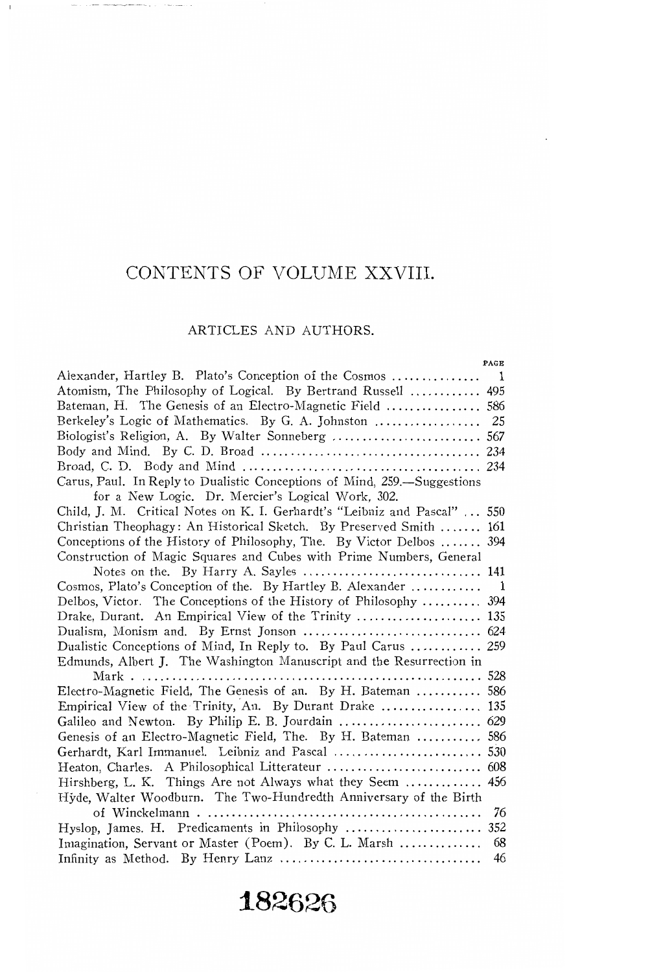## CONTENTS OF VOLUME XXVIII.

 $\mathbf{I}$ 

 $\lambda$  ,  $\mu$  and  $\lambda$  . We then the property set  $\lambda$  as  $\mu$  ,  $\lambda$  ,  $\lambda$  , and  $\lambda$  and

### ARTICLES AND AUTHORS.

| PAGE                                                                      |  |
|---------------------------------------------------------------------------|--|
|                                                                           |  |
| Atomism, The Philosophy of Logical. By Bertrand Russell  495              |  |
| Bateman, H. The Genesis of an Electro-Magnetic Field  586                 |  |
|                                                                           |  |
|                                                                           |  |
|                                                                           |  |
|                                                                           |  |
| Carus, Paul. In Reply to Dualistic Conceptions of Mind, 259.-Suggestions  |  |
| for a New Logic. Dr. Mercier's Logical Work, 302.                         |  |
| Child, J. M. Critical Notes on K. I. Gerhardt's "Leibniz and Pascal"  550 |  |
| Christian Theophagy: An Historical Sketch. By Preserved Smith  161        |  |
| Conceptions of the History of Philosophy, The. By Victor Delbos  394      |  |
| Construction of Magic Squares and Cubes with Prime Numbers, General       |  |
|                                                                           |  |
| Cosmos, Plato's Conception of the. By Hartley B. Alexander<br>- 1         |  |
| Delbos, Victor. The Conceptions of the History of Philosophy  394         |  |
| Drake, Durant. An Empirical View of the Trinity  135                      |  |
|                                                                           |  |
| Dualistic Conceptions of Mind, In Reply to. By Paul Carus  259            |  |
| Edmunds, Albert J. The Washington Manuscript and the Resurrection in      |  |
|                                                                           |  |
| Electro-Magnetic Field, The Genesis of an. By H. Bateman  586             |  |
| Empirical View of the Trinity, An. By Durant Drake  135                   |  |
|                                                                           |  |
| Genesis of an Electro-Magnetic Field, The. By H. Bateman  586             |  |
| Gerhardt, Karl Immanuel. Leibniz and Pascal  530                          |  |
|                                                                           |  |
| Hirshberg, L. K. Things Are not Always what they Seem  456                |  |
| Hyde, Walter Woodburn. The Two-Hundredth Anniversary of the Birth         |  |
| 76                                                                        |  |
|                                                                           |  |
| Imagination, Servant or Master (Poem). By C. L. Marsh<br>68               |  |
| 46                                                                        |  |
|                                                                           |  |

# **182626**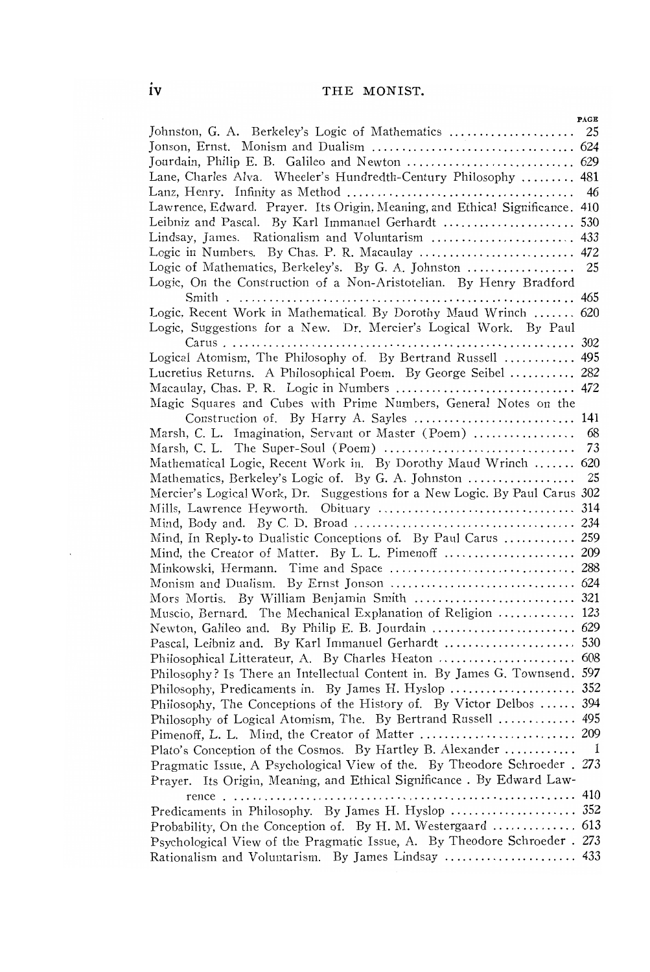## **IV** THE MONIST.

|                                                                              | PAGE |
|------------------------------------------------------------------------------|------|
| Johnston, G. A. Berkeley's Logic of Mathematics                              | 25   |
|                                                                              |      |
| Jourdain, Philip E. B. Galileo and Newton  629                               |      |
| Lane, Charles Alva. Wheeler's Hundredth-Century Philosophy  481              |      |
|                                                                              | 46   |
| Lawrence, Edward. Prayer. Its Origin, Meaning, and Ethical Significance. 410 |      |
| Leibniz and Pascal. By Karl Immanuel Gerhardt  530                           |      |
|                                                                              |      |
|                                                                              |      |
|                                                                              |      |
| Logic of Mathematics, Berkeley's. By G. A. Johnston  25                      |      |
| Logic, On the Construction of a Non-Aristotelian. By Henry Bradford          |      |
| Logic, Recent Work in Mathematical. By Dorothy Maud Wrinch  620              |      |
|                                                                              |      |
| Logic, Suggestions for a New. Dr. Mercier's Logical Work. By Paul            |      |
|                                                                              |      |
| Logical Atomism, The Philosophy of. By Bertrand Russell  495                 |      |
| Lucretius Returns. A Philosophical Poem. By George Seibel  282               |      |
| Macaulay, Chas. P. R. Logic in Numbers  472                                  |      |
| Magic Squares and Cubes with Prime Numbers, General Notes on the             |      |
|                                                                              |      |
| Marsh, C. L. Imagination, Servant or Master (Poem)                           | 68   |
|                                                                              | 73   |
| Mathematical Logic, Recent Work in. By Dorothy Maud Wrinch  620              |      |
|                                                                              |      |
| Mercier's Logical Work, Dr. Suggestions for a New Logic. By Paul Carus 302   |      |
|                                                                              |      |
|                                                                              |      |
| Mind, In Reply to Dualistic Conceptions of. By Paul Carus  259               |      |
|                                                                              |      |
|                                                                              |      |
|                                                                              |      |
|                                                                              |      |
|                                                                              |      |
| Muscio, Bernard. The Mechanical Explanation of Religion  123                 |      |
|                                                                              |      |
| Pascal, Leibniz and. By Karl Immanuel Gerhardt  530                          |      |
|                                                                              |      |
| Philosophy? Is There an Intellectual Content in. By James G. Townsend. 597   |      |
|                                                                              |      |
| Philosophy, The Conceptions of the History of. By Victor Delbos  394         |      |
| Philosophy of Logical Atomism, The. By Bertrand Russell  495                 |      |
| Pimenoff, L. L. Mind, the Creator of Matter  209                             |      |
| Plato's Conception of the Cosmos. By Hartley B. Alexander                    | -1   |
| Pragmatic Issue, A Psychological View of the. By Theodore Schroeder . 273    |      |
| Prayer. Its Origin, Meaning, and Ethical Significance. By Edward Law-        |      |
|                                                                              |      |
| Predicaments in Philosophy. By James H. Hyslop  352                          |      |
|                                                                              |      |
| Psychological View of the Pragmatic Issue, A. By Theodore Schroeder . 273    |      |
|                                                                              |      |
| Rationalism and Voluntarism. By James Lindsay  433                           |      |